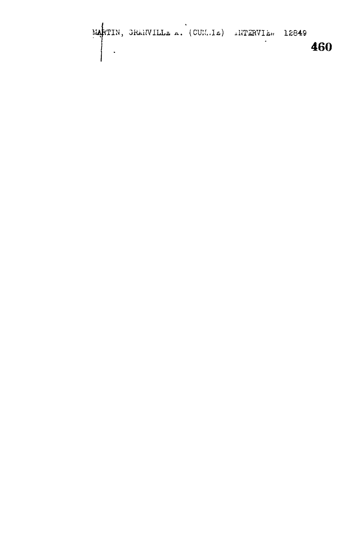MARTIN, GRANVILLE A. (CUN.IE) INTERVIE. 12849 460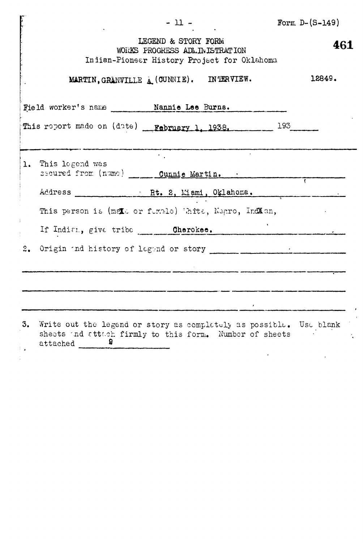|    | $-11 -$                                                                                                                                                                                                                        | Form $D-(S-149)$ |
|----|--------------------------------------------------------------------------------------------------------------------------------------------------------------------------------------------------------------------------------|------------------|
|    | LEGEND & STORY FORM<br>WORKS PROGRESS ADLINISTRATION<br>Indian-Pioneer History Project for Oklahoma                                                                                                                            | 461              |
|    | MARTIN, GRANVILLE A (CUNNIE). INTERVIEW.                                                                                                                                                                                       | 12849.           |
|    | Field worker's name _______ Nannie Lee Burns.                                                                                                                                                                                  |                  |
|    | This report made on (date) February 1, 1938. 193. 193.                                                                                                                                                                         |                  |
|    | $\bullet$ - $\bullet$ - $\bullet$ - $\bullet$                                                                                                                                                                                  |                  |
|    | 1. This legend was<br>secured from (name) Cunnie Martin.                                                                                                                                                                       |                  |
|    | Address Rt. 2, Miami, Oklahoma.                                                                                                                                                                                                |                  |
|    | This person is (meto or funcie) White, Negro, Indian,                                                                                                                                                                          |                  |
|    | If Indian, give tribe Cherokee.                                                                                                                                                                                                |                  |
|    | 2. Origin and history of legand or story contract to the contract of the contract of the contract of the contract of the contract of the contract of the contract of the contract of the contract of the contract of the contr |                  |
|    |                                                                                                                                                                                                                                |                  |
|    | and the contract of the contract of the contract of the contract of the contract of the contract of the contract of                                                                                                            |                  |
|    |                                                                                                                                                                                                                                |                  |
| 3. | Write out the legend or story as completely as possible. Use blank<br>sheets and attach firmly to this form. Number of sheets<br>attached<br>ਬ                                                                                 |                  |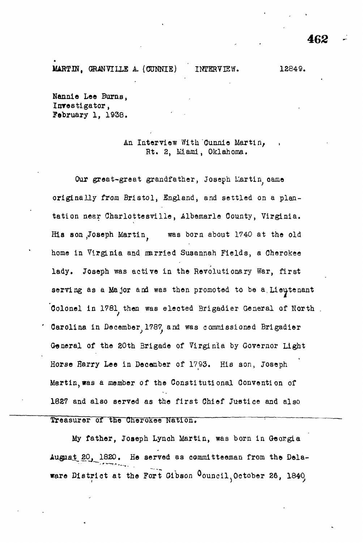MARTIN, GRANVILLE A. (CUNNIE) INTERVIEW. 12849.

<del>~</del>~~~~~~~~~~~~

Nannie Lee Burns, Investigator, February 1, 1938.

### An Interview With Cunnie Martin, Rt. 2, Miami, Oklahoma.

Our great-great grandfather, Joseph Martin came originally from Bristol, England, and settled on a plantation near Charlottesville, Albemarle County, Virginia. His son Joseph Martin. was born about 1740 at the old home in Virginia and narried Susannah Fields, a Cherokee lady. Joseph was active in the Revolutionary War, first serving as a Major and was then promoted to be a Lieutenant Colonel in 1781 then was elected Brigadier General of North. Carolina in December, 1787, and was commissioned Brigadier General of the 20th Brigade of Virginia by Governor Light Horse Harry Lee in December of 1793. His son, Joseph Martin,was a member of the Constitutional Convention of 1827 and also served as the first Chief Justice and also

### Treasurer of the Cherokee Nation.

My father, Joseph Lynoh Martin, was born in Georgia August 20, 1820. He served as committeeman from the Delaware District at the Fort Gibson Council, October 26, 1840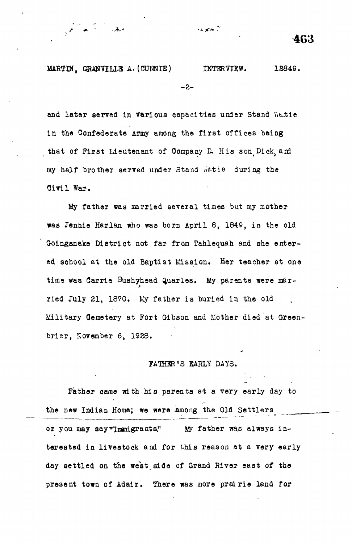ia annoù

سرخر.

and later served in various capacities under Stand Watie in the Confederate Army among the first offices being that of First Lieutenant of Company D. His son. Dick, and my half brother served under Stand *letie* during the Civil War.

My father was married several times but my mother was Jennie Harlan who was born April 8, 1849, in the old Goinganake District not far from Tahlequah and she entered school at the old Baptist Mission. Her teacher at one time was Carrie Bushyhead Quarles. My parents were married July 21, 1870. Ky father is buried in the old Military Gemetery at Fort Gibson and Mother died at Greenbrier, Kovember 6, 1928.

#### FATHER'S EARLY DAYS.

Father came with his parents at a very early day to the new Indian Home; we were .among the Old Settlers or you may say"Immigrants," My father was always interested in livestock and for this reason at a very early day settled on the west side of Grand River east of the preaent town of Adair. There was more prairie land for

**463**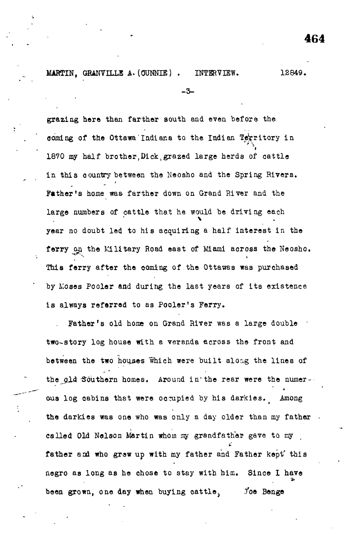#### **MARTIN, GRANVILLE A.** (OUNNIE) . INTERVIEW. 12849.

-3-

grazing here than farther south and even before the coming of the Ottawa Indians to the Indian Territory in » 1870 my half brother, Dick, grazed large herds of cattle in this country between the Neosho and the Spring Rivers. Father's home was farther down on Grand River and the large numbers of cattle that he would be driving each year no doubt led to his acquiring a half interest in the ferry on the Military Road east of Miami across the Neosho. This ferry after the coming of the Ottawas was purchased by Moses Pooler and during the last years of its existence is always referred to as Pooler's Ferry.

Father's old home on Grand River was a large double two-story log house with a veranda across the front and between the two houses which were built along the lines of the gld Southern homes. Around in the rear were the numerous log cabins that were occupied by his darkies. Among the darkies was one who was only a day older than my father. called Old Nelson Martin whom my grandfather gave to my father and who grew up with my father and Father kept this father and who graw up with my father and Father and Father kept\* this my father and Father kept\* this my fath negro as long as long as he ohose to stay with him. Since  $\alpha$  have  $\alpha$ Joe Benge

been grown, one day **when** buying oattlej .foe **Benge**

**464**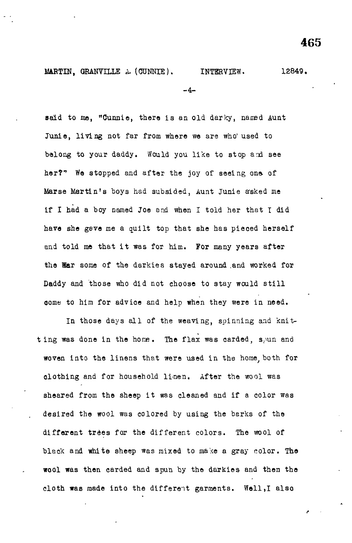-4-

said to me, "Cunnie, there is an old darky, named Aunt Junie, living not far from where we are who'used to belong to your daddy. Would you like to stop and see her?" We stopped and after the joy of seeing one of Marse Martin's boys had subsided, Aunt Junie asked me if I had a boy named Joe and when I told her that I did have she gave me a quilt top that she has pieced herself and told me that it was for him. For many years after the War some of the darkies stayed around and worked for Daddy and those who did not choose to stay would still come to him for advice and help when they were in need.

In those days all of the weaving, spinning and knitting was done in the home. The flax was carded, spun and woven into the linens that were used in the home both for olothing and for household li-nen. After the wool was sheared from the sheep it was cleaned and if a color was desired the wool was colored by using the barks of the different trees for the different colors. The wool of black and white sheep was mixed to make a gray color. The wool was then carded and spun by the darkies and then the cloth was made into the different garments. Well,I also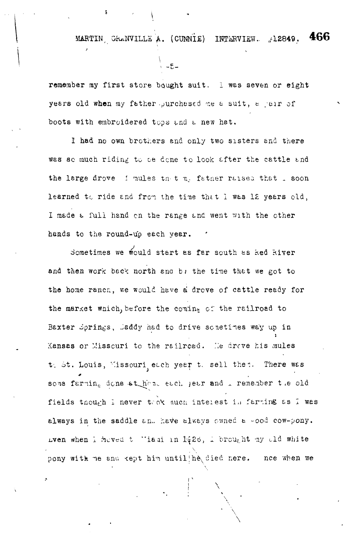MARTIN, GRANVILLE A. (CUNNIE) INTERVIEW. j12849. 466

remember my first store bought suit. I was seven or eight years old when my father purchased me a suit, a pair of boots with embroidered tops and a new hat.

I had no own brothers and only two sisters and there was so much riding to be done to look after the cattle and the large drove function to my father raised that . soon learned to ride and from the time that I was 12 years old, I made a full hand on the range and went with the other hands to the round-up each year.

Sometimes we would start as far south as ked kiver and then work back north and bi the time that we got to the home ranch, we would have a drove of cattle ready for the market which, before the coming of the railroad to Baxter Springs, Saddy had to drive sometimes way up in Kansas or Misscuri to the railroad. He drove his mules to St. Louis, Missouri each year to sell then. There was some farming done st hand each jear and I remember the old fields though I never took much interest in farting as I was always in the saddle and have always owned a -ood cow-pony. Lven when I hoved t "iasi in 1426, I brought my old white pony with me and kept him until he died nere. noe when we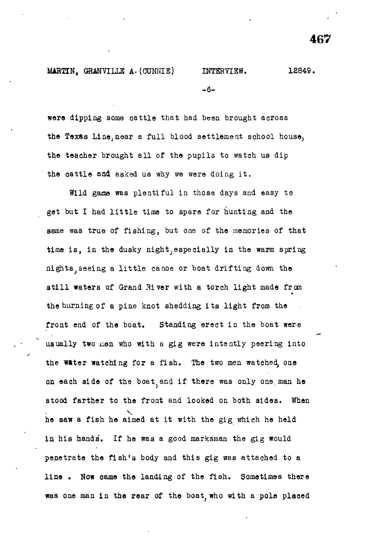# MARTIN, GRANVILLE A. (CUNNIE) INTERVIEW. 12849.  $-6-$

were dipping some cattle that had been brought across the Texas Line,near a full blood settlement school house, the teacher brought all of the pupils to watch us dip the cattle and asked us why we were doing it.

Wild gase was plentiful in those days and easy to get but I had little time to spare for hunting and the same was true of fishing, but one of the memories of that time is, in the dusky night, especially in the warm spring nights, seeing a little canoe or boat drifting down the still waters of Grand River with a torch light made from the burning of a pine knot shedding its light from the front end of the boat. Standing erect in the boat were usually two men who with a gig were intently peering into the water watching for a fish. The two men watched, one on each side of the boat and if there was only one man he stood farther to the front and looked on both sides. When he saw a fish he aimed at it with the gig which he held in his hands. If he was a good marksman the gig would penetrate the fish's body and this gig was attached to a line. Now came the landing of the fish. Sometimes there was one man in the rear of the boat, who with a pole placed

**467**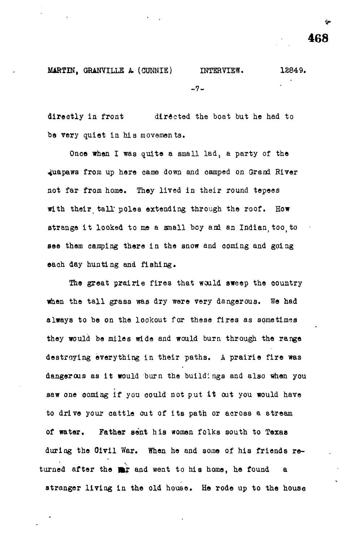MARTIN, GRANVILLE A (CUNNIE) INTERVIEW. 12849.  $-7-$ 

directly in front directed the boat but he had to be very quiet in his movements.

Once when I was quite a small lad, a party of the 4uapaws from up here cams down and camped on Grand River not far from home. They lived in their round tepees with their tall poles extending through the roof. How strange it looked to me a small boy and an Indian too, to see them camping there in the snow and coming and going each day hunting and fishing.

The great prairie fires that would sweep the country when the tall grass was dry were very dangerous. We had always to be on the lookout for these fires as sometimes they would be miles wide and would burn through the range destroying everything in their paths. A prairie fire was dangerous as it would burn the buildings and also when you saw one coming if you could not put it out you would have to drive your cattle out of its path or across a stream of water. Father sent his women folks south to Texas during the Oivil War. When he and some of his friends returned after the  $\frac{1}{2}$  and went to his home, he found a stranger living in the old house. He rode up to the house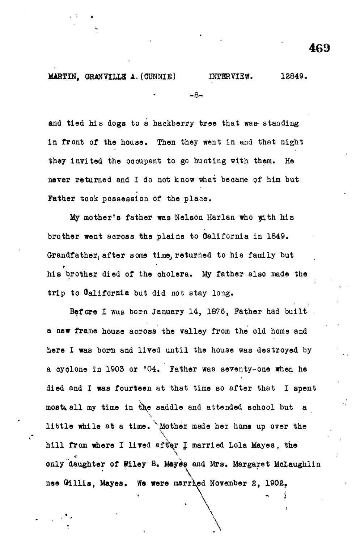**MARTIN, GKANVILLB A. (OONNIE) INTERVIEW. 18849. -8-**

and tied his dogs to a hackberry tree that was standing in front of the house. Then they went in and that night they invited the oocupant to go hunting with them. He never returned and I do not know what became of him but Father took possession of the place.

My mother's father was Nelson Harlan who with his brother went across the plains to California in 1849. Grandfather, after some time, returned to his family but hi8 brother died of the oholera. My father also made the trip to Oalifornia but did not stay long.

Before I was born January 14, 1876, Father had built. a new frame house aoross the valley from the old home and here I was born and lived until the house was destroyed by a oyolone in 1903 or '04. Father was seventy-one when he died and I was fourteen at that time so after that I spent mostiall my time in the saddle and attended school but a little while at a time. \Mother made her home up over the hill from where I lived after I married Lola Mayes, the  $\overline{\phantom{a}}$ only daughter of Wiley B. Mayès and Mrs. Margaret Mclaughlin  $\overline{\phantom{a}}$ **nee Olllis, Mayes. W« were married November 2, 1902f**